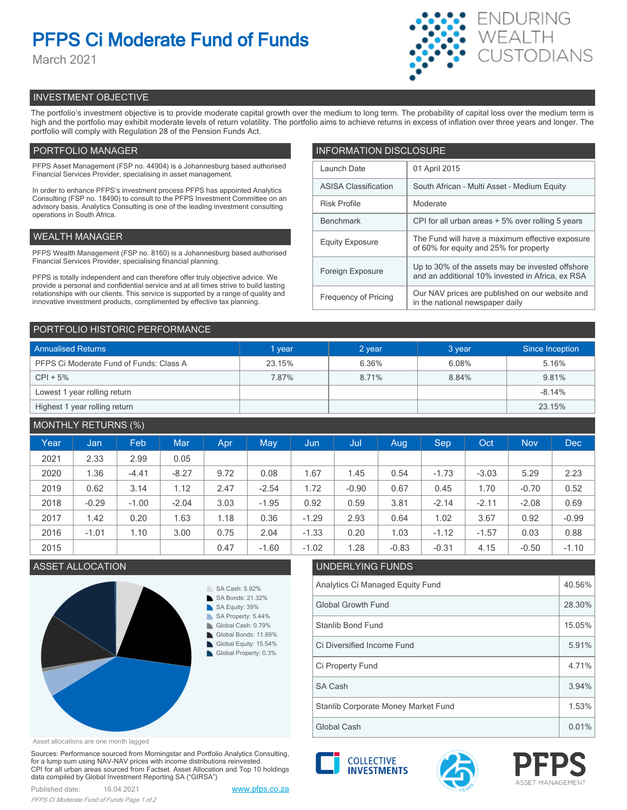# **PFPS Ci Moderate Fund of Funds**

March 2021



# INVESTMENT OBJECTIVE

The portfolio's investment objective is to provide moderate capital growth over the medium to long term. The probability of capital loss over the medium term is high and the portfolio may exhibit moderate levels of return volatility. The portfolio aims to achieve returns in excess of inflation over three years and longer. The portfolio will comply with Regulation 28 of the Pension Funds Act.

# PORTFOLIO MANAGER

PFPS Asset Management (FSP no. 44904) is a Johannesburg based authorised Financial Services Provider, specialising in asset management.

In order to enhance PFPS's investment process PFPS has appointed Analytics Consulting (FSP no. 18490) to consult to the PFPS Investment Committee on an advisory basis. Analytics Consulting is one of the leading investment consulting operations in South Africa.

## WEALTH MANAGER

PFPS Wealth Management (FSP no. 8160) is a Johannesburg based authorised Financial Services Provider, specialising financial planning.

PFPS is totally independent and can therefore offer truly objective advice. We provide a personal and confidential service and at all times strive to build lasting relationships with our clients. This service is supported by a range of quality and innovative investment products, complimented by effective tax planning.

| <b>INFORMATION DISCLOSURE</b> |                                                                                                      |  |  |  |  |
|-------------------------------|------------------------------------------------------------------------------------------------------|--|--|--|--|
| Launch Date                   | 01 April 2015                                                                                        |  |  |  |  |
| <b>ASISA Classification</b>   | South African - Multi Asset - Medium Equity                                                          |  |  |  |  |
| <b>Risk Profile</b>           | Moderate                                                                                             |  |  |  |  |
| <b>Benchmark</b>              | CPI for all urban areas + 5% over rolling 5 years                                                    |  |  |  |  |
| <b>Equity Exposure</b>        | The Fund will have a maximum effective exposure<br>of 60% for equity and 25% for property            |  |  |  |  |
| Foreign Exposure              | Up to 30% of the assets may be invested offshore<br>and an additional 10% invested in Africa, ex RSA |  |  |  |  |
| <b>Frequency of Pricing</b>   | Our NAV prices are published on our website and<br>in the national newspaper daily                   |  |  |  |  |

### PORTFOLIO HISTORIC PERFORMANCE

| <b>Annualised Returns</b>               | 1 year | 2 year | 3 year | Since Inception |  |
|-----------------------------------------|--------|--------|--------|-----------------|--|
| PFPS Ci Moderate Fund of Funds: Class A | 23.15% | 6.36%  | 6.08%  | 5.16%           |  |
| $CPI + 5%$                              | 7.87%  | 8.71%  | 8.84%  | 9.81%           |  |
| Lowest 1 year rolling return            |        |        |        | $-8.14%$        |  |
| Highest 1 year rolling return           |        |        |        | 23.15%          |  |

# MONTHLY RETURNS (%)

|      |         | $\sim$ $\sim$ |            |            |         |         |         |         |         |         |            |            |
|------|---------|---------------|------------|------------|---------|---------|---------|---------|---------|---------|------------|------------|
| Year | Jan     | Feb           | <b>Mar</b> | <b>Apr</b> | May     | Jun     | Jul     | Aug.    | Sep     | Oct     | <b>Nov</b> | <b>Dec</b> |
| 2021 | 2.33    | 2.99          | 0.05       |            |         |         |         |         |         |         |            |            |
| 2020 | 1.36    | $-4.41$       | $-8.27$    | 9.72       | 0.08    | 1.67    | 1.45    | 0.54    | $-1.73$ | $-3.03$ | 5.29       | 2.23       |
| 2019 | 0.62    | 3.14          | 1.12       | 2.47       | $-2.54$ | 1.72    | $-0.90$ | 0.67    | 0.45    | 1.70    | $-0.70$    | 0.52       |
| 2018 | $-0.29$ | $-1.00$       | $-2.04$    | 3.03       | $-1.95$ | 0.92    | 0.59    | 3.81    | $-2.14$ | $-2.11$ | $-2.08$    | 0.69       |
| 2017 | 1.42    | 0.20          | 1.63       | 1.18       | 0.36    | $-1.29$ | 2.93    | 0.64    | 1.02    | 3.67    | 0.92       | $-0.99$    |
| 2016 | $-1.01$ | 1.10          | 3.00       | 0.75       | 2.04    | $-1.33$ | 0.20    | 1.03    | $-1.12$ | $-1.57$ | 0.03       | 0.88       |
| 2015 |         |               |            | 0.47       | $-1.60$ | $-1.02$ | 1.28    | $-0.83$ | $-0.31$ | 4.15    | $-0.50$    | $-1.10$    |



# ASSET ALLOCATION UNDERLYING FUNDS Analytics Ci Managed Equity Fund 40.56% Global Growth Fund 28.30% Stanlib Bond Fund 15.05% Ci Property Fund 2.71% Ci Diversified Income Fund 5.91%

Global Cash 0.01% Stanlib Corporate Money Market Fund 1.53% SA Cash 3.94%

Asset allocations are one month lagged

Sources: Performance sourced from Morningstar and Portfolio Analytics Consulting, for a lump sum using NAV-NAV prices with income distributions reinvested. CPI for all urban areas sourced from Factset. Asset Allocation and Top 10 holdings data compiled by Global Investment Reporting SA ("GIRSA")